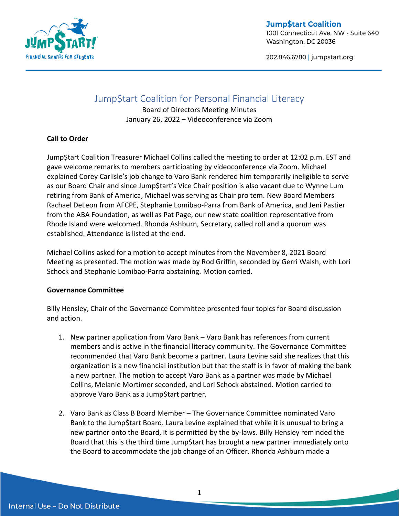

**Jump\$tart Coalition** 1001 Connecticut Ave, NW - Suite 640 Washington, DC 20036

202.846.6780 | jumpstart.org

# Jump\$tart Coalition for Personal Financial Literacy

Board of Directors Meeting Minutes January 26, 2022 – Videoconference via Zoom

### **Call to Order**

Jump\$tart Coalition Treasurer Michael Collins called the meeting to order at 12:02 p.m. EST and gave welcome remarks to members participating by videoconference via Zoom. Michael explained Corey Carlisle's job change to Varo Bank rendered him temporarily ineligible to serve as our Board Chair and since Jump\$tart's Vice Chair position is also vacant due to Wynne Lum retiring from Bank of America, Michael was serving as Chair pro tem. New Board Members Rachael DeLeon from AFCPE, Stephanie Lomibao-Parra from Bank of America, and Jeni Pastier from the ABA Foundation, as well as Pat Page, our new state coalition representative from Rhode Island were welcomed. Rhonda Ashburn, Secretary, called roll and a quorum was established. Attendance is listed at the end.

Michael Collins asked for a motion to accept minutes from the November 8, 2021 Board Meeting as presented. The motion was made by Rod Griffin, seconded by Gerri Walsh, with Lori Schock and Stephanie Lomibao-Parra abstaining. Motion carried.

#### **Governance Committee**

Billy Hensley, Chair of the Governance Committee presented four topics for Board discussion and action.

- 1. New partner application from Varo Bank Varo Bank has references from current members and is active in the financial literacy community. The Governance Committee recommended that Varo Bank become a partner. Laura Levine said she realizes that this organization is a new financial institution but that the staff is in favor of making the bank a new partner. The motion to accept Varo Bank as a partner was made by Michael Collins, Melanie Mortimer seconded, and Lori Schock abstained. Motion carried to approve Varo Bank as a Jump\$tart partner.
- 2. Varo Bank as Class B Board Member The Governance Committee nominated Varo Bank to the Jump\$tart Board. Laura Levine explained that while it is unusual to bring a new partner onto the Board, it is permitted by the by-laws. Billy Hensley reminded the Board that this is the third time Jump\$tart has brought a new partner immediately onto the Board to accommodate the job change of an Officer. Rhonda Ashburn made a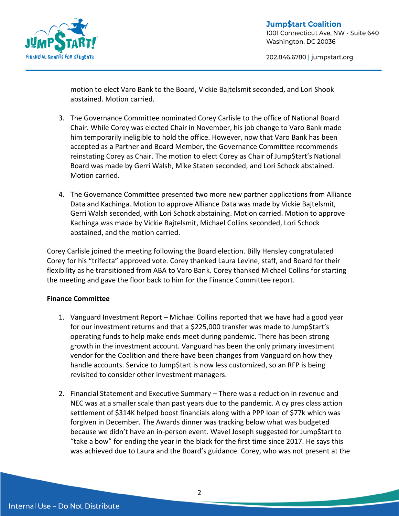

202.846.6780 | jumpstart.org

motion to elect Varo Bank to the Board, Vickie Bajtelsmit seconded, and Lori Shook abstained. Motion carried.

- 3. The Governance Committee nominated Corey Carlisle to the office of National Board Chair. While Corey was elected Chair in November, his job change to Varo Bank made him temporarily ineligible to hold the office. However, now that Varo Bank has been accepted as a Partner and Board Member, the Governance Committee recommends reinstating Corey as Chair. The motion to elect Corey as Chair of Jump\$tart's National Board was made by Gerri Walsh, Mike Staten seconded, and Lori Schock abstained. Motion carried.
- 4. The Governance Committee presented two more new partner applications from Alliance Data and Kachinga. Motion to approve Alliance Data was made by Vickie Bajtelsmit, Gerri Walsh seconded, with Lori Schock abstaining. Motion carried. Motion to approve Kachinga was made by Vickie Bajtelsmit, Michael Collins seconded, Lori Schock abstained, and the motion carried.

Corey Carlisle joined the meeting following the Board election. Billy Hensley congratulated Corey for his "trifecta" approved vote. Corey thanked Laura Levine, staff, and Board for their flexibility as he transitioned from ABA to Varo Bank. Corey thanked Michael Collins for starting the meeting and gave the floor back to him for the Finance Committee report.

#### **Finance Committee**

- 1. Vanguard Investment Report Michael Collins reported that we have had a good year for our investment returns and that a \$225,000 transfer was made to Jump\$tart's operating funds to help make ends meet during pandemic. There has been strong growth in the investment account. Vanguard has been the only primary investment vendor for the Coalition and there have been changes from Vanguard on how they handle accounts. Service to Jump\$tart is now less customized, so an RFP is being revisited to consider other investment managers.
- 2. Financial Statement and Executive Summary There was a reduction in revenue and NEC was at a smaller scale than past years due to the pandemic. A cy pres class action settlement of \$314K helped boost financials along with a PPP loan of \$77k which was forgiven in December. The Awards dinner was tracking below what was budgeted because we didn't have an in-person event. Wavel Joseph suggested for Jump\$tart to "take a bow" for ending the year in the black for the first time since 2017. He says this was achieved due to Laura and the Board's guidance. Corey, who was not present at the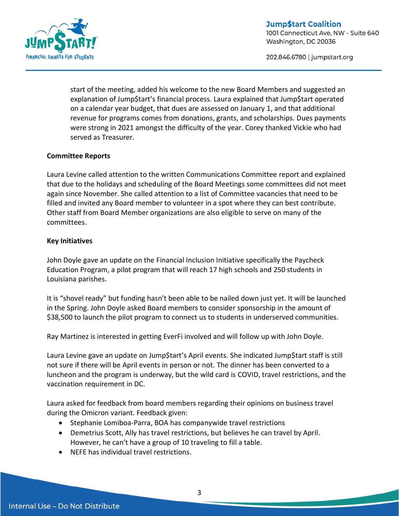

202.846.6780 | jumpstart.org

start of the meeting, added his welcome to the new Board Members and suggested an explanation of Jump\$tart's financial process. Laura explained that Jump\$tart operated on a calendar year budget, that dues are assessed on January 1, and that additional revenue for programs comes from donations, grants, and scholarships. Dues payments were strong in 2021 amongst the difficulty of the year. Corey thanked Vickie who had served as Treasurer.

#### **Committee Reports**

Laura Levine called attention to the written Communications Committee report and explained that due to the holidays and scheduling of the Board Meetings some committees did not meet again since November. She called attention to a list of Committee vacancies that need to be filled and invited any Board member to volunteer in a spot where they can best contribute. Other staff from Board Member organizations are also eligible to serve on many of the committees.

### **Key Initiatives**

John Doyle gave an update on the Financial Inclusion Initiative specifically the Paycheck Education Program, a pilot program that will reach 17 high schools and 250 students in Louisiana parishes.

It is "shovel ready" but funding hasn't been able to be nailed down just yet. It will be launched in the Spring. John Doyle asked Board members to consider sponsorship in the amount of \$38,500 to launch the pilot program to connect us to students in underserved communities.

Ray Martinez is interested in getting EverFi involved and will follow up with John Doyle.

Laura Levine gave an update on Jump\$tart's April events. She indicated Jump\$tart staff is still not sure if there will be April events in person or not. The dinner has been converted to a luncheon and the program is underway, but the wild card is COVID, travel restrictions, and the vaccination requirement in DC.

Laura asked for feedback from board members regarding their opinions on business travel during the Omicron variant. Feedback given:

- Stephanie Lomiboa-Parra, BOA has companywide travel restrictions
- Demetrius Scott, Ally has travel restrictions, but believes he can travel by April. However, he can't have a group of 10 traveling to fill a table.
- NEFE has individual travel restrictions.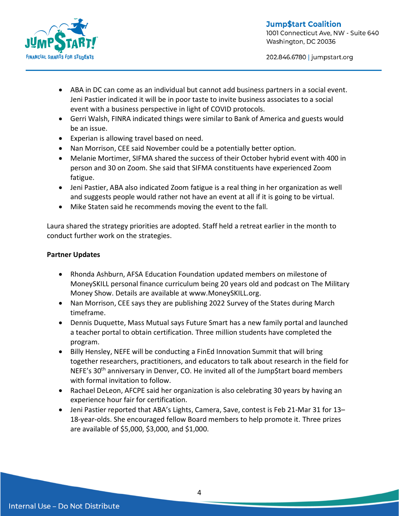

202.846.6780 | jumpstart.org

- ABA in DC can come as an individual but cannot add business partners in a social event. Jeni Pastier indicated it will be in poor taste to invite business associates to a social event with a business perspective in light of COVID protocols.
- Gerri Walsh, FINRA indicated things were similar to Bank of America and guests would be an issue.
- Experian is allowing travel based on need.
- Nan Morrison, CEE said November could be a potentially better option.
- Melanie Mortimer, SIFMA shared the success of their October hybrid event with 400 in person and 30 on Zoom. She said that SIFMA constituents have experienced Zoom fatigue.
- Jeni Pastier, ABA also indicated Zoom fatigue is a real thing in her organization as well and suggests people would rather not have an event at all if it is going to be virtual.
- Mike Staten said he recommends moving the event to the fall.

Laura shared the strategy priorities are adopted. Staff held a retreat earlier in the month to conduct further work on the strategies.

## **Partner Updates**

- Rhonda Ashburn, AFSA Education Foundation updated members on milestone of MoneySKILL personal finance curriculum being 20 years old and podcast on The Military Money Show. Details are available at www.MoneySKILL.org.
- Nan Morrison, CEE says they are publishing 2022 Survey of the States during March timeframe.
- Dennis Duquette, Mass Mutual says Future Smart has a new family portal and launched a teacher portal to obtain certification. Three million students have completed the program.
- Billy Hensley, NEFE will be conducting a FinEd Innovation Summit that will bring together researchers, practitioners, and educators to talk about research in the field for NEFE's 30<sup>th</sup> anniversary in Denver, CO. He invited all of the Jump\$tart board members with formal invitation to follow.
- Rachael DeLeon, AFCPE said her organization is also celebrating 30 years by having an experience hour fair for certification.
- Jeni Pastier reported that ABA's Lights, Camera, Save, contest is Feb 21-Mar 31 for 13– 18-year-olds. She encouraged fellow Board members to help promote it. Three prizes are available of \$5,000, \$3,000, and \$1,000.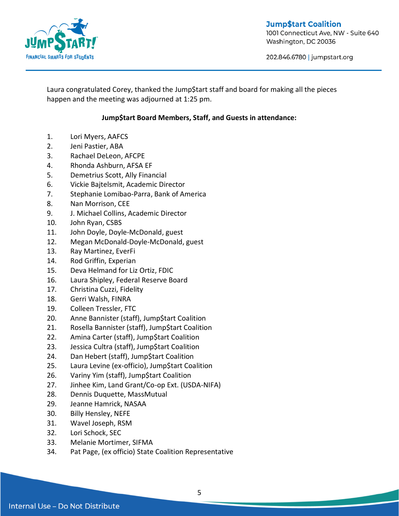

**Jump\$tart Coalition** 1001 Connecticut Ave, NW - Suite 640 Washington, DC 20036

202.846.6780 | jumpstart.org

Laura congratulated Corey, thanked the Jump\$tart staff and board for making all the pieces happen and the meeting was adjourned at 1:25 pm.

# **Jump\$tart Board Members, Staff, and Guests in attendance:**

- 1. Lori Myers, AAFCS
- 2. Jeni Pastier, ABA
- 3. Rachael DeLeon, AFCPE
- 4. Rhonda Ashburn, AFSA EF
- 5. Demetrius Scott, Ally Financial
- 6. Vickie Bajtelsmit, Academic Director
- 7. Stephanie Lomibao-Parra, Bank of America
- 8. Nan Morrison, CEE
- 9. J. Michael Collins, Academic Director
- 10. John Ryan, CSBS
- 11. John Doyle, Doyle-McDonald, guest
- 12. Megan McDonald-Doyle-McDonald, guest
- 13. Ray Martinez, EverFi
- 14. Rod Griffin, Experian
- 15. Deva Helmand for Liz Ortiz, FDIC
- 16. Laura Shipley, Federal Reserve Board
- 17. Christina Cuzzi, Fidelity
- 18. Gerri Walsh, FINRA
- 19. Colleen Tressler, FTC
- 20. Anne Bannister (staff), Jump\$tart Coalition
- 21. Rosella Bannister (staff), Jump\$tart Coalition
- 22. Amina Carter (staff), Jump\$tart Coalition
- 23. Jessica Cultra (staff), Jump\$tart Coalition
- 24. Dan Hebert (staff), Jump\$tart Coalition
- 25. Laura Levine (ex-officio), Jump\$tart Coalition
- 26. Variny Yim (staff), Jump\$tart Coalition
- 27. Jinhee Kim, Land Grant/Co-op Ext. (USDA-NIFA)
- 28. Dennis Duquette, MassMutual
- 29. Jeanne Hamrick, NASAA
- 30. Billy Hensley, NEFE
- 31. Wavel Joseph, RSM
- 32. Lori Schock, SEC
- 33. Melanie Mortimer, SIFMA
- 34. Pat Page, (ex officio) State Coalition Representative